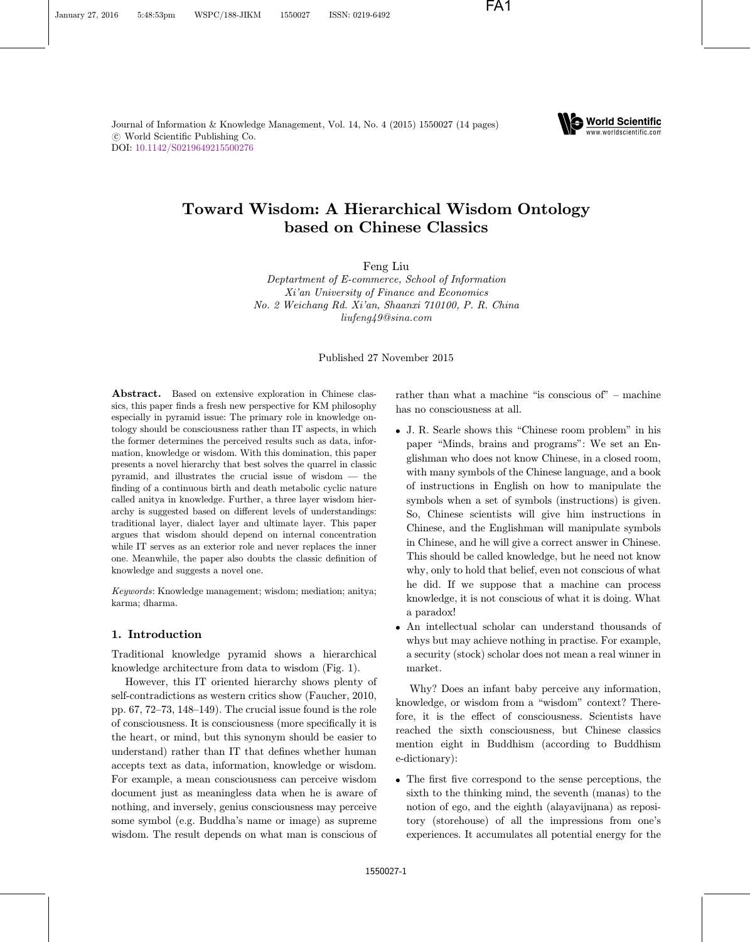

# Toward Wisdom: A Hierarchical Wisdom Ontology based on Chinese Classics

Feng Liu

Deptartment of E-commerce, School of Information Xi'an University of Finance and Economics No. 2 Weichang Rd. Xi'an, Shaanxi 710100, P. R. China  $\sum_{j=1}^n$ 

Published 27 November 2015

Abstract. Based on extensive exploration in Chinese classics, this paper finds a fresh new perspective for KM philosophy especially in pyramid issue: The primary role in knowledge ontology should be consciousness rather than IT aspects, in which the former determines the perceived results such as data, information, knowledge or wisdom. With this domination, this paper presents a novel hierarchy that best solves the quarrel in classic pyramid, and illustrates the crucial issue of wisdom — the finding of a continuous birth and death metabolic cyclic nature called anitya in knowledge. Further, a three layer wisdom hierarchy is suggested based on different levels of understandings: traditional layer, dialect layer and ultimate layer. This paper argues that wisdom should depend on internal concentration while IT serves as an exterior role and never replaces the inner one. Meanwhile, the paper also doubts the classic definition of knowledge and suggests a novel one.

Keywords: Knowledge management; wisdom; mediation; anitya; karma; dharma.

# 1. Introduction

Traditional knowledge pyramid shows a hierarchical knowledge architecture from data to wisdom (Fig. 1).

However, this IT oriented hierarchy shows plenty of self-contradictions as western critics show (Faucher, 2010, pp. 67, 72–73, 148–149). The crucial issue found is the role of consciousness. It is consciousness (more specifically it is the heart, or mind, but this synonym should be easier to understand) rather than IT that defines whether human accepts text as data, information, knowledge or wisdom. For example, a mean consciousness can perceive wisdom document just as meaningless data when he is aware of nothing, and inversely, genius consciousness may perceive some symbol (e.g. Buddha's name or image) as supreme wisdom. The result depends on what man is conscious of rather than what a machine "is conscious of" – machine has no consciousness at all.

- J. R. Searle shows this "Chinese room problem" in his paper \Minds, brains and programs": We set an Englishman who does not know Chinese, in a closed room, with many symbols of the Chinese language, and a book of instructions in English on how to manipulate the symbols when a set of symbols (instructions) is given. So, Chinese scientists will give him instructions in Chinese, and the Englishman will manipulate symbols in Chinese, and he will give a correct answer in Chinese. This should be called knowledge, but he need not know why, only to hold that belief, even not conscious of what he did. If we suppose that a machine can process knowledge, it is not conscious of what it is doing. What a paradox!
- . An intellectual scholar can understand thousands of whys but may achieve nothing in practise. For example, a security (stock) scholar does not mean a real winner in market.

Why? Does an infant baby perceive any information, knowledge, or wisdom from a "wisdom" context? Therefore, it is the effect of consciousness. Scientists have reached the sixth consciousness, but Chinese classics mention eight in Buddhism (according to Buddhism e-dictionary):

• The first five correspond to the sense perceptions, the sixth to the thinking mind, the seventh (manas) to the notion of ego, and the eighth (alayavijnana) as repository (storehouse) of all the impressions from one's experiences. It accumulates all potential energy for the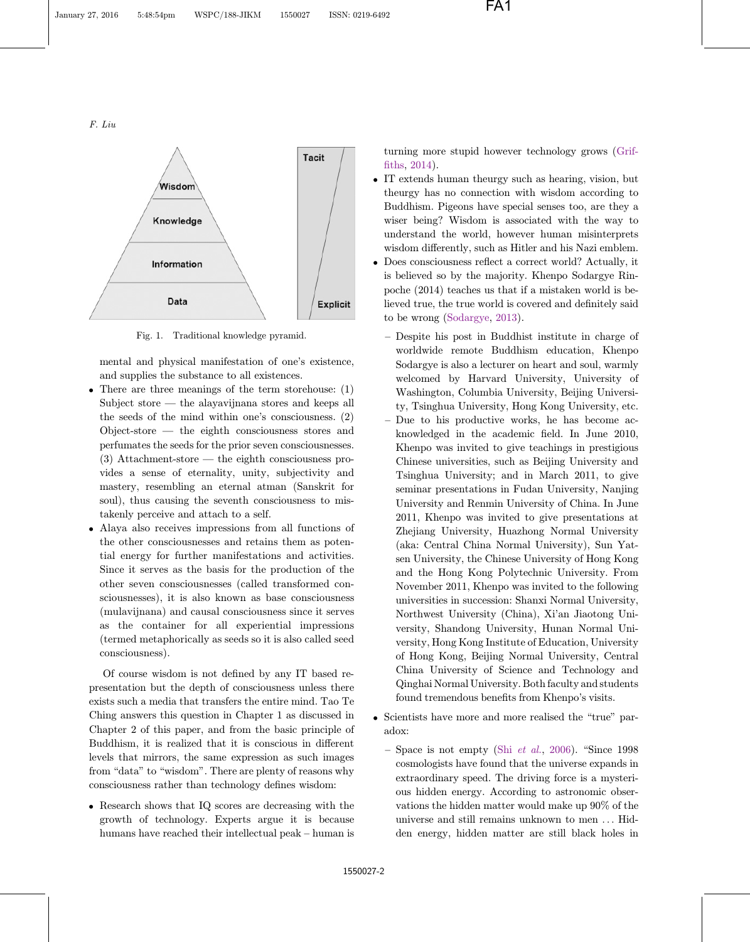

Fig. 1. Traditional knowledge pyramid.

mental and physical manifestation of one's existence, and supplies the substance to all existences.

- . There are three meanings of the term storehouse: (1) Subject store — the alayavijnana stores and keeps all the seeds of the mind within one's consciousness. (2) Object-store — the eighth consciousness stores and perfumates the seeds for the prior seven consciousnesses. (3) Attachment-store — the eighth consciousness provides a sense of eternality, unity, subjectivity and mastery, resembling an eternal atman (Sanskrit for soul), thus causing the seventh consciousness to mistakenly perceive and attach to a self.
- . Alaya also receives impressions from all functions of the other consciousnesses and retains them as potential energy for further manifestations and activities. Since it serves as the basis for the production of the other seven consciousnesses (called transformed consciousnesses), it is also known as base consciousness (mulavijnana) and causal consciousness since it serves as the container for all experiential impressions (termed metaphorically as seeds so it is also called seed consciousness).

Of course wisdom is not defined by any IT based representation but the depth of consciousness unless there exists such a media that transfers the entire mind. Tao Te Ching answers this question in Chapter 1 as discussed in Chapter 2 of this paper, and from the basic principle of Buddhism, it is realized that it is conscious in different levels that mirrors, the same expression as such images from "data" to "wisdom". There are plenty of reasons why consciousness rather than technology defines wisdom:

. Research shows that IQ scores are decreasing with the growth of technology. Experts argue it is because humans have reached their intellectual peak – human is turning more stupid however technology grows ([Grif](#page-12-0) fiths,  $2014$ ).

- . IT extends human theurgy such as hearing, vision, but theurgy has no connection with wisdom according to Buddhism. Pigeons have special senses too, are they a wiser being? Wisdom is associated with the way to understand the world, however human misinterprets wisdom differently, such as Hitler and his Nazi emblem.
- $\bullet~$  Does consciousness reflect a correct world? Actually, it is believed so by the majority. Khenpo Sodargye Rinpoche (2014) teaches us that if a mistaken world is believed true, the true world is covered and definitely said to be wrong [\(Sodargye,](#page-12-0) [2013\)](#page-12-0).
	- Despite his post in Buddhist institute in charge of worldwide remote Buddhism education, Khenpo Sodargye is also a lecturer on heart and soul, warmly welcomed by Harvard University, University of Washington, Columbia University, Beijing University, Tsinghua University, Hong Kong University, etc.
	- Due to his productive works, he has become acknowledged in the academic field. In June 2010, Khenpo was invited to give teachings in prestigious Chinese universities, such as Beijing University and Tsinghua University; and in March 2011, to give seminar presentations in Fudan University, Nanjing University and Renmin University of China. In June 2011, Khenpo was invited to give presentations at Zhejiang University, Huazhong Normal University (aka: Central China Normal University), Sun Yatsen University, the Chinese University of Hong Kong and the Hong Kong Polytechnic University. From November 2011, Khenpo was invited to the following universities in succession: Shanxi Normal University, Northwest University (China), Xi'an Jiaotong University, Shandong University, Hunan Normal University, Hong Kong Institute of Education, University of Hong Kong, Beijing Normal University, Central China University of Science and Technology and Qinghai Normal University. Both faculty and students found tremendous benefits from Khenpo's visits.
- . Scientists have more and more realised the \true" paradox:
	- Space is not empty (Shi [et al.](#page-12-0), [2006\)](#page-12-0). "Since 1998 cosmologists have found that the universe expands in extraordinary speed. The driving force is a mysterious hidden energy. According to astronomic observations the hidden matter would make up 90% of the universe and still remains unknown to men ... Hidden energy, hidden matter are still black holes in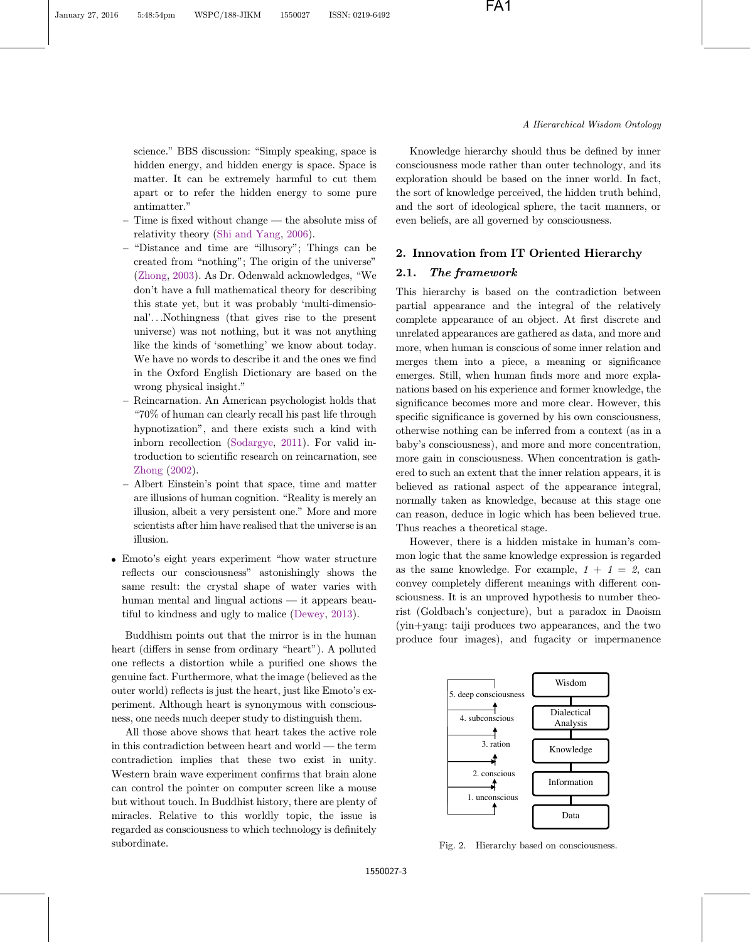<span id="page-2-0"></span>science." BBS discussion: "Simply speaking, space is hidden energy, and hidden energy is space. Space is matter. It can be extremely harmful to cut them apart or to refer the hidden energy to some pure antimatter."

- $-$  Time is fixed without change  $-$  the absolute miss of relativity theory ([Shi and Yang,](#page-12-0) [2006\)](#page-12-0).
- $-$  "Distance and time are "illusory"; Things can be created from "nothing"; The origin of the universe" ([Zhong,](#page-13-0) [2003](#page-13-0)). As Dr. Odenwald acknowledges, "We don't have a full mathematical theory for describing this state yet, but it was probably 'multi-dimensional'...Nothingness (that gives rise to the present universe) was not nothing, but it was not anything like the kinds of 'something' we know about today. We have no words to describe it and the ones we find in the Oxford English Dictionary are based on the wrong physical insight."
- Reincarnation. An American psychologist holds that \70% of human can clearly recall his past life through hypnotization", and there exists such a kind with inborn recollection [\(Sodargye,](#page-12-0) [2011](#page-12-0)). For valid introduction to scientific research on reincarnation, see [Zhong](#page-13-0) [\(2002](#page-13-0)).
- Albert Einstein's point that space, time and matter are illusions of human cognition. "Reality is merely an illusion, albeit a very persistent one." More and more scientists after him have realised that the universe is an illusion.
- $\bullet$  Emoto's eight years experiment "how water structure reflects our consciousness" astonishingly shows the same result: the crystal shape of water varies with human mental and lingual actions — it appears beautiful to kindness and ugly to malice ([Dewey](#page-12-0), [2013](#page-12-0)).

Buddhism points out that the mirror is in the human heart (differs in sense from ordinary "heart"). A polluted one reflects a distortion while a purified one shows the genuine fact. Furthermore, what the image (believed as the outer world) reflects is just the heart, just like Emoto's experiment. Although heart is synonymous with consciousness, one needs much deeper study to distinguish them.

All those above shows that heart takes the active role in this contradiction between heart and world — the term contradiction implies that these two exist in unity. Western brain wave experiment confirms that brain alone can control the pointer on computer screen like a mouse but without touch. In Buddhist history, there are plenty of miracles. Relative to this worldly topic, the issue is regarded as consciousness to which technology is definitely subordinate.

Knowledge hierarchy should thus be defined by inner consciousness mode rather than outer technology, and its exploration should be based on the inner world. In fact, the sort of knowledge perceived, the hidden truth behind, and the sort of ideological sphere, the tacit manners, or even beliefs, are all governed by consciousness.

# 2. Innovation from IT Oriented Hierarchy

#### 2.1. The framework

This hierarchy is based on the contradiction between partial appearance and the integral of the relatively complete appearance of an object. At first discrete and unrelated appearances are gathered as data, and more and more, when human is conscious of some inner relation and merges them into a piece, a meaning or significance emerges. Still, when human finds more and more explanations based on his experience and former knowledge, the significance becomes more and more clear. However, this specific significance is governed by his own consciousness, otherwise nothing can be inferred from a context (as in a baby's consciousness), and more and more concentration, more gain in consciousness. When concentration is gathered to such an extent that the inner relation appears, it is believed as rational aspect of the appearance integral, normally taken as knowledge, because at this stage one can reason, deduce in logic which has been believed true. Thus reaches a theoretical stage.

However, there is a hidden mistake in human's common logic that the same knowledge expression is regarded as the same knowledge. For example,  $1 + 1 = 2$ , can convey completely different meanings with different consciousness. It is an unproved hypothesis to number theorist (Goldbach's conjecture), but a paradox in Daoism  $(\text{vin}+\text{yang: } \text{tail}$  produces two appearances, and the two produce four images), and fugacity or impermanence



Fig. 2. Hierarchy based on consciousness.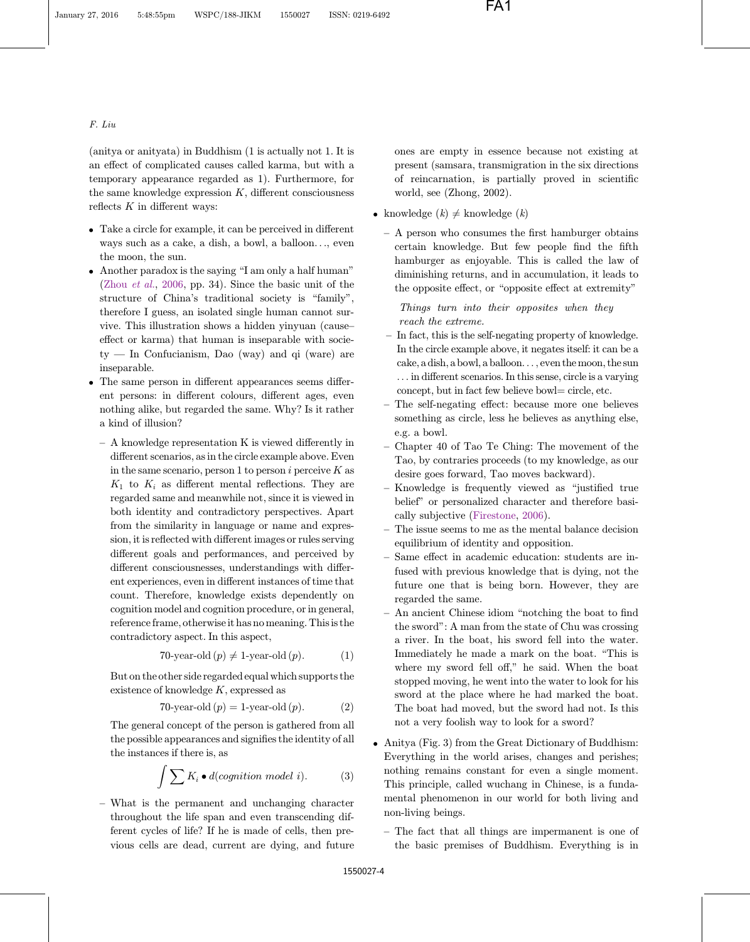### F. Liu

(anitya or anityata) in Buddhism (1 is actually not 1. It is an effect of complicated causes called karma, but with a temporary appearance regarded as 1). Furthermore, for the same knowledge expression  $K$ , different consciousness reflects  $K$  in different ways:

- $\bullet$  Take a circle for example, it can be perceived in different ways such as a cake, a dish, a bowl, a balloon..., even the moon, the sun.
- . Another paradox is the saying \I am only a half human" (Zhou [et al.](#page-13-0), [2006](#page-13-0), pp. 34). Since the basic unit of the structure of China's traditional society is "family", therefore I guess, an isolated single human cannot survive. This illustration shows a hidden yinyuan (cause– effect or karma) that human is inseparable with society — In Confucianism, Dao (way) and qi (ware) are inseparable.
- The same person in different appearances seems different persons: in different colours, different ages, even nothing alike, but regarded the same. Why? Is it rather a kind of illusion?
	- $-$  A knowledge representation K is viewed differently in different scenarios, as in the circle example above. Even in the same scenario, person 1 to person  $i$  perceive  $K$  as  $K_1$  to  $K_i$  as different mental reflections. They are regarded same and meanwhile not, since it is viewed in both identity and contradictory perspectives. Apart from the similarity in language or name and expression, it is reflected with different images or rules serving different goals and performances, and perceived by different consciousnesses, understandings with different experiences, even in different instances of time that count. Therefore, knowledge exists dependently on cognition model and cognition procedure, or in general, reference frame, otherwise it has no meaning. This is the contradictory aspect. In this aspect,

$$
70\text{-year-old}(p) \neq 1\text{-year-old}(p). \tag{1}
$$

But on the other side regarded equal which supports the existence of knowledge K, expressed as

$$
70\text{-year-old }(p) = 1\text{-year-old }(p). \tag{2}
$$

The general concept of the person is gathered from all the possible appearances and signifies the identity of all the instances if there is, as

$$
\int \sum K_i \bullet d(cognition \ model \ i).
$$
 (3)

– What is the permanent and unchanging character throughout the life span and even transcending different cycles of life? If he is made of cells, then previous cells are dead, current are dying, and future ones are empty in essence because not existing at present (samsara, transmigration in the six directions of reincarnation, is partially proved in scientific world, see (Zhong, 2002).

- knowledge  $(k) \neq$  knowledge  $(k)$ 
	- $-$  A person who consumes the first hamburger obtains certain knowledge. But few people find the fifth hamburger as enjoyable. This is called the law of diminishing returns, and in accumulation, it leads to the opposite effect, or "opposite effect at extremity"

Things turn into their opposites when they reach the extreme.

- In fact, this is the self-negating property of knowledge. In the circle example above, it negates itself: it can be a cake, a dish, a bowl, a balloon... ; even the moon, the sun  $\ldots$  in different scenarios. In this sense, circle is a varying  $\alpha$  concept, but in fact few believe bowl $=$  circle, etc.
- $-$  The self-negating effect: because more one believes something as circle, less he believes as anything else, e.g. a bowl.
- Chapter 40 of Tao Te Ching: The movement of the Tao, by contraries proceeds (to my knowledge, as our desire goes forward, Tao moves backward).
- $-$  Knowledge is frequently viewed as "justified true belief" or personalized character and therefore basically subjective ([Firestone,](#page-12-0) [2006\)](#page-12-0).
- The issue seems to me as the mental balance decision equilibrium of identity and opposition.
- Same effect in academic education: students are infused with previous knowledge that is dying, not the future one that is being born. However, they are regarded the same.
- $-$  An ancient Chinese idiom "notching the boat to find the sword": A man from the state of Chu was crossing a river. In the boat, his sword fell into the water. Immediately he made a mark on the boat. \This is where my sword fell off," he said. When the boat stopped moving, he went into the water to look for his sword at the place where he had marked the boat. The boat had moved, but the sword had not. Is this not a very foolish way to look for a sword?
- . Anitya (Fig. 3) from the Great Dictionary of Buddhism: Everything in the world arises, changes and perishes; nothing remains constant for even a single moment. This principle, called wuchang in Chinese, is a fundamental phenomenon in our world for both living and non-living beings.
	- The fact that all things are impermanent is one of the basic premises of Buddhism. Everything is in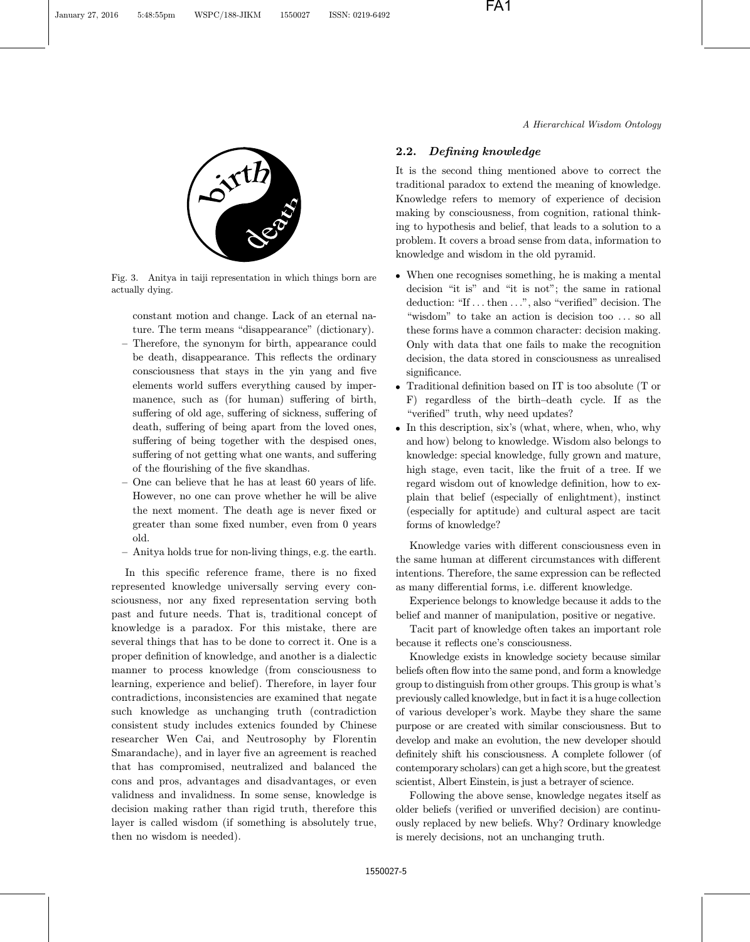

Fig. 3. Anitya in taiji representation in which things born are actually dying.

constant motion and change. Lack of an eternal nature. The term means "disappearance" (dictionary).

- Therefore, the synonym for birth, appearance could be death, disappearance. This reflects the ordinary consciousness that stays in the yin yang and five elements world suffers everything caused by impermanence, such as (for human) suffering of birth, suffering of old age, suffering of sickness, suffering of death, suffering of being apart from the loved ones, suffering of being together with the despised ones, suffering of not getting what one wants, and suffering of the flourishing of the five skandhas.
- One can believe that he has at least 60 years of life. However, no one can prove whether he will be alive the next moment. The death age is never fixed or greater than some fixed number, even from 0 years old.
- Anitya holds true for non-living things, e.g. the earth.

In this specific reference frame, there is no fixed represented knowledge universally serving every consciousness, nor any fixed representation serving both past and future needs. That is, traditional concept of knowledge is a paradox. For this mistake, there are several things that has to be done to correct it. One is a proper definition of knowledge, and another is a dialectic manner to process knowledge (from consciousness to learning, experience and belief). Therefore, in layer four contradictions, inconsistencies are examined that negate such knowledge as unchanging truth (contradiction consistent study includes extenics founded by Chinese researcher Wen Cai, and Neutrosophy by Florentin Smarandache), and in layer five an agreement is reached that has compromised, neutralized and balanced the cons and pros, advantages and disadvantages, or even validness and invalidness. In some sense, knowledge is decision making rather than rigid truth, therefore this layer is called wisdom (if something is absolutely true, then no wisdom is needed).

# 2.2. Defining knowledge

It is the second thing mentioned above to correct the traditional paradox to extend the meaning of knowledge. Knowledge refers to memory of experience of decision making by consciousness, from cognition, rational thinking to hypothesis and belief, that leads to a solution to a problem. It covers a broad sense from data, information to knowledge and wisdom in the old pyramid.

- . When one recognises something, he is making a mental decision "it is" and "it is not"; the same in rational deduction: "If  $\dots$  then  $\dots$ ", also "verified" decision. The "wisdom" to take an action is decision too ... so all these forms have a common character: decision making. Only with data that one fails to make the recognition decision, the data stored in consciousness as unrealised significance.
- $\bullet$  Traditional definition based on IT is too absolute (T or F) regardless of the birth–death cycle. If as the "verified" truth, why need updates?
- . In this description, six's (what, where, when, who, why and how) belong to knowledge. Wisdom also belongs to knowledge: special knowledge, fully grown and mature, high stage, even tacit, like the fruit of a tree. If we regard wisdom out of knowledge definition, how to explain that belief (especially of enlightment), instinct (especially for aptitude) and cultural aspect are tacit forms of knowledge?

Knowledge varies with different consciousness even in the same human at different circumstances with different intentions. Therefore, the same expression can be reflected as many differential forms, i.e. different knowledge.

Experience belongs to knowledge because it adds to the belief and manner of manipulation, positive or negative.

Tacit part of knowledge often takes an important role because it reflects one's consciousness.

Knowledge exists in knowledge society because similar beliefs often flow into the same pond, and form a knowledge group to distinguish from other groups. This group is what's previously called knowledge, but in fact it is a huge collection of various developer's work. Maybe they share the same purpose or are created with similar consciousness. But to develop and make an evolution, the new developer should definitely shift his consciousness. A complete follower (of contemporary scholars) can get a high score, but the greatest scientist, Albert Einstein, is just a betrayer of science.

Following the above sense, knowledge negates itself as older beliefs (verified or unverified decision) are continuously replaced by new beliefs. Why? Ordinary knowledge is merely decisions, not an unchanging truth.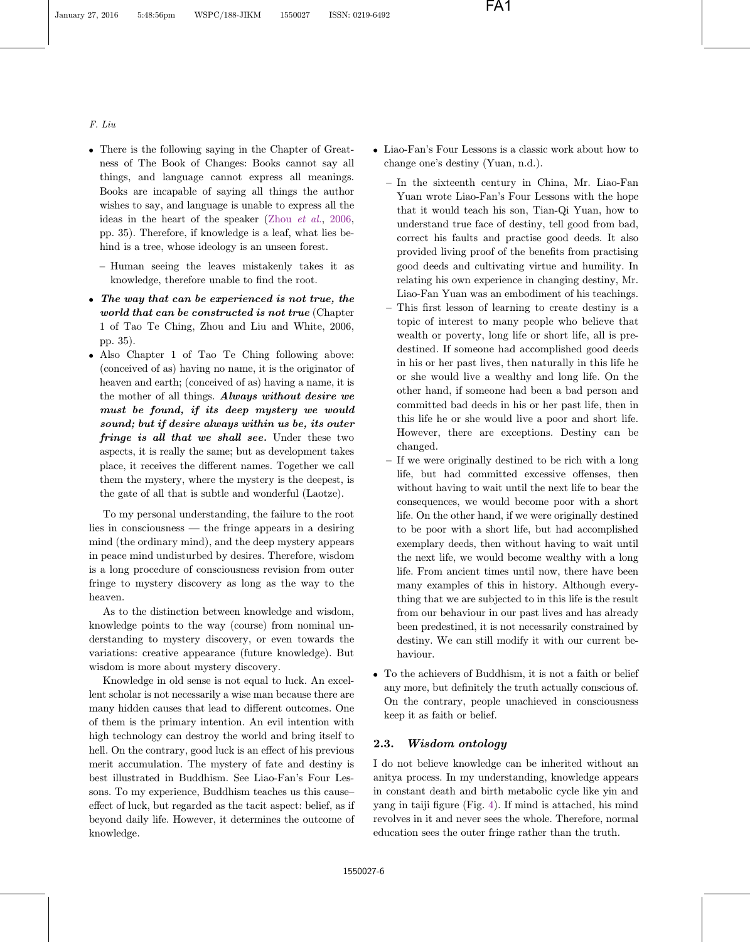# F. Liu

- . There is the following saying in the Chapter of Greatness of The Book of Changes: Books cannot say all things, and language cannot express all meanings. Books are incapable of saying all things the author wishes to say, and language is unable to express all the ideas in the heart of the speaker (Zhou [et al.](#page-13-0), [2006,](#page-13-0) pp. 35). Therefore, if knowledge is a leaf, what lies behind is a tree, whose ideology is an unseen forest.
	- Human seeing the leaves mistakenly takes it as knowledge, therefore unable to find the root.
- . The way that can be experienced is not true, the world that can be constructed is not true (Chapter 1 of Tao Te Ching, Zhou and Liu and White, 2006, pp. 35).
- . Also Chapter 1 of Tao Te Ching following above: (conceived of as) having no name, it is the originator of heaven and earth; (conceived of as) having a name, it is the mother of all things. Always without desire we must be found, if its deep mystery we would sound; but if desire always within us be, its outer fringe is all that we shall see. Under these two aspects, it is really the same; but as development takes place, it receives the different names. Together we call them the mystery, where the mystery is the deepest, is the gate of all that is subtle and wonderful (Laotze).

To my personal understanding, the failure to the root lies in consciousness — the fringe appears in a desiring mind (the ordinary mind), and the deep mystery appears in peace mind undisturbed by desires. Therefore, wisdom is a long procedure of consciousness revision from outer fringe to mystery discovery as long as the way to the heaven.

As to the distinction between knowledge and wisdom, knowledge points to the way (course) from nominal understanding to mystery discovery, or even towards the variations: creative appearance (future knowledge). But wisdom is more about mystery discovery.

Knowledge in old sense is not equal to luck. An excellent scholar is not necessarily a wise man because there are many hidden causes that lead to different outcomes. One of them is the primary intention. An evil intention with high technology can destroy the world and bring itself to hell. On the contrary, good luck is an effect of his previous merit accumulation. The mystery of fate and destiny is best illustrated in Buddhism. See Liao-Fan's Four Lessons. To my experience, Buddhism teaches us this cause– effect of luck, but regarded as the tacit aspect: belief, as if beyond daily life. However, it determines the outcome of knowledge.

- . Liao-Fan's Four Lessons is a classic work about how to change one's destiny (Yuan, n.d.).
	- In the sixteenth century in China, Mr. Liao-Fan Yuan wrote Liao-Fan's Four Lessons with the hope that it would teach his son, Tian-Qi Yuan, how to understand true face of destiny, tell good from bad, correct his faults and practise good deeds. It also provided living proof of the benefits from practising good deeds and cultivating virtue and humility. In relating his own experience in changing destiny, Mr. Liao-Fan Yuan was an embodiment of his teachings.
	- This first lesson of learning to create destiny is a topic of interest to many people who believe that wealth or poverty, long life or short life, all is predestined. If someone had accomplished good deeds in his or her past lives, then naturally in this life he or she would live a wealthy and long life. On the other hand, if someone had been a bad person and committed bad deeds in his or her past life, then in this life he or she would live a poor and short life. However, there are exceptions. Destiny can be changed.
	- If we were originally destined to be rich with a long life, but had committed excessive offenses, then without having to wait until the next life to bear the consequences, we would become poor with a short life. On the other hand, if we were originally destined to be poor with a short life, but had accomplished exemplary deeds, then without having to wait until the next life, we would become wealthy with a long life. From ancient times until now, there have been many examples of this in history. Although everything that we are subjected to in this life is the result from our behaviour in our past lives and has already been predestined, it is not necessarily constrained by destiny. We can still modify it with our current behaviour.
- . To the achievers of Buddhism, it is not a faith or belief any more, but definitely the truth actually conscious of. On the contrary, people unachieved in consciousness keep it as faith or belief.

# 2.3. Wisdom ontology

I do not believe knowledge can be inherited without an anitya process. In my understanding, knowledge appears in constant death and birth metabolic cycle like yin and yang in taiji figure (Fig. [4\)](#page-6-0). If mind is attached, his mind revolves in it and never sees the whole. Therefore, normal education sees the outer fringe rather than the truth.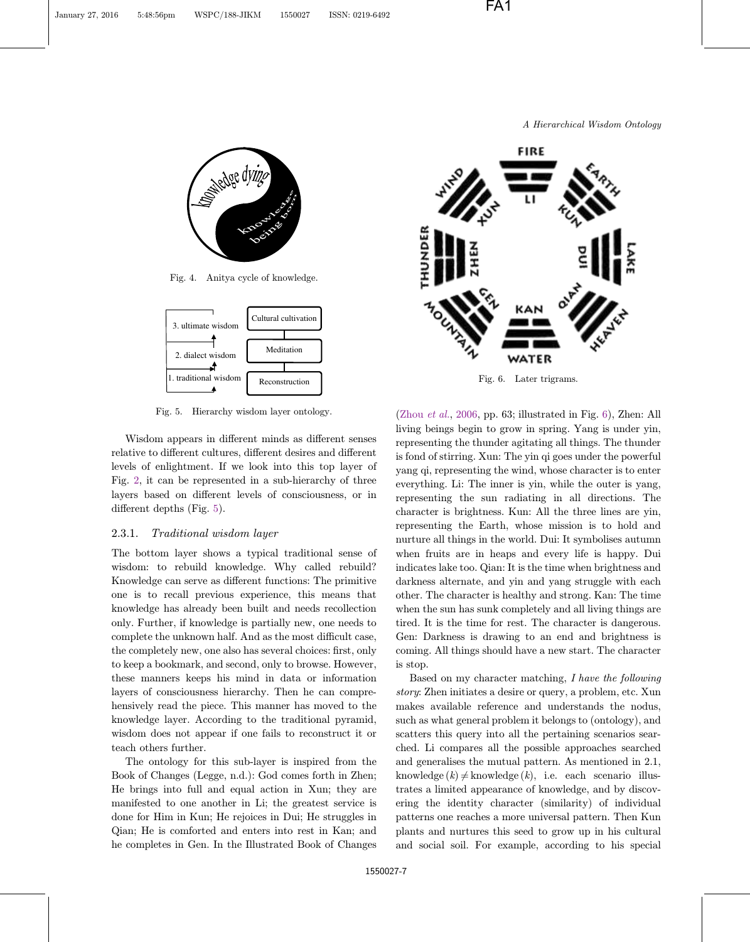<span id="page-6-0"></span>

Fig. 4. Anitya cycle of knowledge.



Fig. 5. Hierarchy wisdom layer ontology.

Wisdom appears in different minds as different senses relative to different cultures, different desires and different levels of enlightment. If we look into this top layer of Fig. [2,](#page-2-0) it can be represented in a sub-hierarchy of three layers based on different levels of consciousness, or in different depths  $(Fig. 5)$ .

#### 2.3.1. Traditional wisdom layer

The bottom layer shows a typical traditional sense of wisdom: to rebuild knowledge. Why called rebuild? Knowledge can serve as different functions: The primitive one is to recall previous experience, this means that knowledge has already been built and needs recollection only. Further, if knowledge is partially new, one needs to complete the unknown half. And as the most difficult case, the completely new, one also has several choices: first, only to keep a bookmark, and second, only to browse. However, these manners keeps his mind in data or information layers of consciousness hierarchy. Then he can comprehensively read the piece. This manner has moved to the knowledge layer. According to the traditional pyramid, wisdom does not appear if one fails to reconstruct it or teach others further.

The ontology for this sub-layer is inspired from the Book of Changes (Legge, n.d.): God comes forth in Zhen; He brings into full and equal action in Xun; they are manifested to one another in Li; the greatest service is done for Him in Kun; He rejoices in Dui; He struggles in Qian; He is comforted and enters into rest in Kan; and he completes in Gen. In the Illustrated Book of Changes



Fig. 6. Later trigrams.

[\(Zhou](#page-13-0) et al., [2006,](#page-13-0) pp. 63; illustrated in Fig. 6), Zhen: All living beings begin to grow in spring. Yang is under yin, representing the thunder agitating all things. The thunder is fond of stirring. Xun: The yin qi goes under the powerful yang qi, representing the wind, whose character is to enter everything. Li: The inner is yin, while the outer is yang, representing the sun radiating in all directions. The character is brightness. Kun: All the three lines are yin, representing the Earth, whose mission is to hold and nurture all things in the world. Dui: It symbolises autumn when fruits are in heaps and every life is happy. Dui indicates lake too. Qian: It is the time when brightness and darkness alternate, and yin and yang struggle with each other. The character is healthy and strong. Kan: The time when the sun has sunk completely and all living things are tired. It is the time for rest. The character is dangerous. Gen: Darkness is drawing to an end and brightness is coming. All things should have a new start. The character is stop.

Based on my character matching, I have the following story: Zhen initiates a desire or query, a problem, etc. Xun makes available reference and understands the nodus, such as what general problem it belongs to (ontology), and scatters this query into all the pertaining scenarios searched. Li compares all the possible approaches searched and generalises the mutual pattern. As mentioned in 2.1, knowledge  $(k) \neq$ knowledge  $(k)$ , i.e. each scenario illustrates a limited appearance of knowledge, and by discovering the identity character (similarity) of individual patterns one reaches a more universal pattern. Then Kun plants and nurtures this seed to grow up in his cultural and social soil. For example, according to his special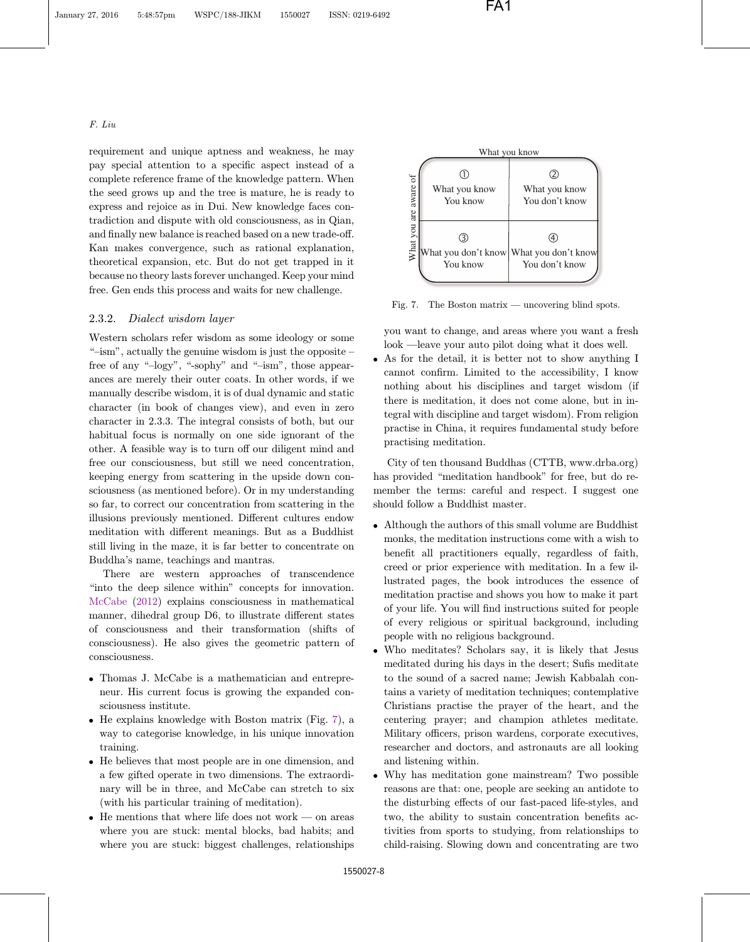requirement and unique aptness and weakness, he may pay special attention to a specific aspect instead of a complete reference frame of the knowledge pattern. When the seed grows up and the tree is mature, he is ready to express and rejoice as in Dui. New knowledge faces contradiction and dispute with old consciousness, as in Qian, and finally new balance is reached based on a new trade-off. Kan makes convergence, such as rational explanation, theoretical expansion, etc. But do not get trapped in it because no theory lasts forever unchanged. Keep your mind free. Gen ends this process and waits for new challenge.

### 2.3.2. Dialect wisdom layer

Western scholars refer wisdom as some ideology or some " $-i\text{sm}$ ", actually the genuine wisdom is just the opposite – free of any " $-logy$ ", "-sophy" and " $-ism$ ", those appearances are merely their outer coats. In other words, if we manually describe wisdom, it is of dual dynamic and static character (in book of changes view), and even in zero character in 2.3.3. The integral consists of both, but our habitual focus is normally on one side ignorant of the other. A feasible way is to turn off our diligent mind and free our consciousness, but still we need concentration, keeping energy from scattering in the upside down consciousness (as mentioned before). Or in my understanding so far, to correct our concentration from scattering in the illusions previously mentioned. Different cultures endow meditation with different meanings. But as a Buddhist still living in the maze, it is far better to concentrate on Buddha's name, teachings and mantras.

There are western approaches of transcendence "into the deep silence within" concepts for innovation. [McCabe](#page-12-0) [\(2012](#page-12-0)) explains consciousness in mathematical manner, dihedral group D6, to illustrate different states of consciousness and their transformation (shifts of consciousness). He also gives the geometric pattern of consciousness.

- . Thomas J. McCabe is a mathematician and entrepreneur. His current focus is growing the expanded consciousness institute.
- . He explains knowledge with Boston matrix (Fig. 7), a way to categorise knowledge, in his unique innovation training.
- . He believes that most people are in one dimension, and a few gifted operate in two dimensions. The extraordinary will be in three, and McCabe can stretch to six (with his particular training of meditation).
- . He mentions that where life does not work on areas where you are stuck: mental blocks, bad habits; and where you are stuck: biggest challenges, relationships



Fig. 7. The Boston matrix — uncovering blind spots.

you want to change, and areas where you want a fresh look —leave your auto pilot doing what it does well.

. As for the detail, it is better not to show anything I cannot confirm. Limited to the accessibility, I know nothing about his disciplines and target wisdom (if there is meditation, it does not come alone, but in integral with discipline and target wisdom). From religion practise in China, it requires fundamental study before practising meditation.

City of ten thousand Buddhas (CTTB, www.drba.org) has provided "meditation handbook" for free, but do remember the terms: careful and respect. I suggest one should follow a Buddhist master.

- . Although the authors of this small volume are Buddhist monks, the meditation instructions come with a wish to benefit all practitioners equally, regardless of faith, creed or prior experience with meditation. In a few illustrated pages, the book introduces the essence of meditation practise and shows you how to make it part of your life. You will find instructions suited for people of every religious or spiritual background, including people with no religious background.
- . Who meditates? Scholars say, it is likely that Jesus meditated during his days in the desert; Sufis meditate to the sound of a sacred name; Jewish Kabbalah contains a variety of meditation techniques; contemplative Christians practise the prayer of the heart, and the centering prayer; and champion athletes meditate. Military officers, prison wardens, corporate executives, researcher and doctors, and astronauts are all looking and listening within.
- . Why has meditation gone mainstream? Two possible reasons are that: one, people are seeking an antidote to the disturbing effects of our fast-paced life-styles, and two, the ability to sustain concentration benefits activities from sports to studying, from relationships to child-raising. Slowing down and concentrating are two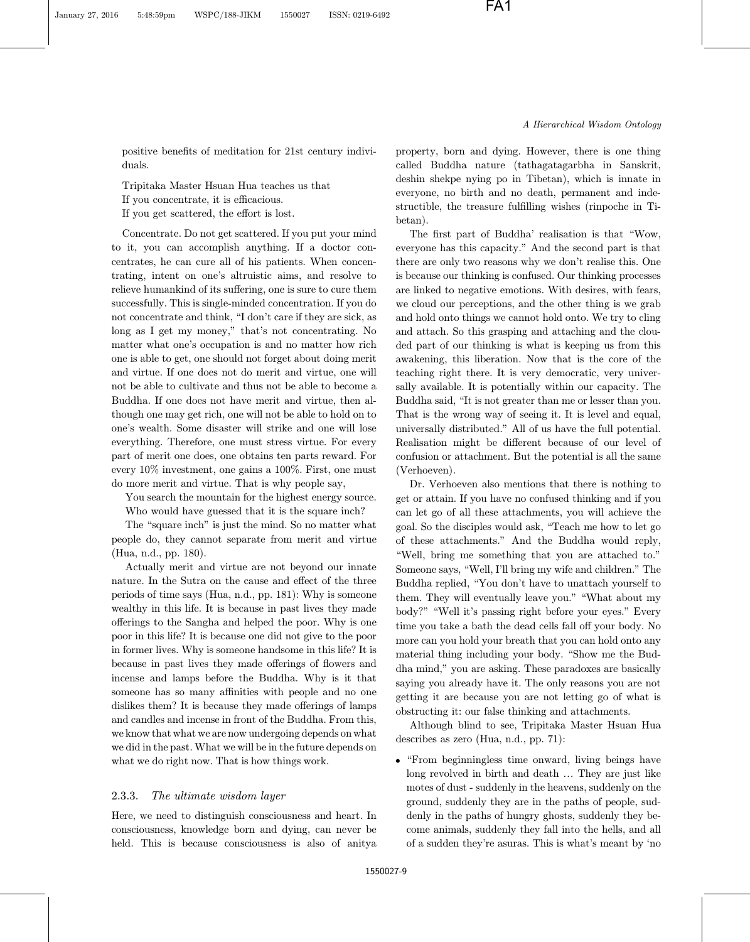positive benefits of meditation for 21st century individuals.

Tripitaka Master Hsuan Hua teaches us that If you concentrate, it is efficacious. If you get scattered, the effort is lost.

Concentrate. Do not get scattered. If you put your mind to it, you can accomplish anything. If a doctor concentrates, he can cure all of his patients. When concentrating, intent on one's altruistic aims, and resolve to relieve humankind of its suffering, one is sure to cure them successfully. This is single-minded concentration. If you do not concentrate and think, "I don't care if they are sick, as long as I get my money," that's not concentrating. No matter what one's occupation is and no matter how rich one is able to get, one should not forget about doing merit and virtue. If one does not do merit and virtue, one will not be able to cultivate and thus not be able to become a Buddha. If one does not have merit and virtue, then although one may get rich, one will not be able to hold on to one's wealth. Some disaster will strike and one will lose everything. Therefore, one must stress virtue. For every part of merit one does, one obtains ten parts reward. For every 10% investment, one gains a 100%. First, one must do more merit and virtue. That is why people say,

You search the mountain for the highest energy source.

Who would have guessed that it is the square inch?

The "square inch" is just the mind. So no matter what people do, they cannot separate from merit and virtue (Hua, n.d., pp. 180).

Actually merit and virtue are not beyond our innate nature. In the Sutra on the cause and effect of the three periods of time says (Hua, n.d., pp. 181): Why is someone wealthy in this life. It is because in past lives they made offerings to the Sangha and helped the poor. Why is one poor in this life? It is because one did not give to the poor in former lives. Why is someone handsome in this life? It is because in past lives they made offerings of flowers and incense and lamps before the Buddha. Why is it that someone has so many affinities with people and no one dislikes them? It is because they made offerings of lamps and candles and incense in front of the Buddha. From this, we know that what we are now undergoing depends on what we did in the past. What we will be in the future depends on what we do right now. That is how things work.

# 2.3.3. The ultimate wisdom layer

Here, we need to distinguish consciousness and heart. In consciousness, knowledge born and dying, can never be held. This is because consciousness is also of anitya property, born and dying. However, there is one thing called Buddha nature (tathagatagarbha in Sanskrit, deshin shekpe nying po in Tibetan), which is innate in everyone, no birth and no death, permanent and indestructible, the treasure fulfilling wishes (rinpoche in Tibetan).

The first part of Buddha' realisation is that "Wow, everyone has this capacity." And the second part is that there are only two reasons why we don't realise this. One is because our thinking is confused. Our thinking processes are linked to negative emotions. With desires, with fears, we cloud our perceptions, and the other thing is we grab and hold onto things we cannot hold onto. We try to cling and attach. So this grasping and attaching and the clouded part of our thinking is what is keeping us from this awakening, this liberation. Now that is the core of the teaching right there. It is very democratic, very universally available. It is potentially within our capacity. The Buddha said, "It is not greater than me or lesser than you. That is the wrong way of seeing it. It is level and equal, universally distributed." All of us have the full potential. Realisation might be different because of our level of confusion or attachment. But the potential is all the same (Verhoeven).

Dr. Verhoeven also mentions that there is nothing to get or attain. If you have no confused thinking and if you can let go of all these attachments, you will achieve the goal. So the disciples would ask, \Teach me how to let go of these attachments." And the Buddha would reply, \Well, bring me something that you are attached to." Someone says, "Well, I'll bring my wife and children." The Buddha replied, "You don't have to unattach yourself to them. They will eventually leave you." "What about my body?" "Well it's passing right before your eyes." Every time you take a bath the dead cells fall off your body. No more can you hold your breath that you can hold onto any material thing including your body. "Show me the Buddha mind," you are asking. These paradoxes are basically saying you already have it. The only reasons you are not getting it are because you are not letting go of what is obstructing it: our false thinking and attachments.

Although blind to see, Tripitaka Master Hsuan Hua describes as zero (Hua, n.d., pp. 71):

 $\bullet$  "From beginningless time onward, living beings have long revolved in birth and death … They are just like motes of dust - suddenly in the heavens, suddenly on the ground, suddenly they are in the paths of people, suddenly in the paths of hungry ghosts, suddenly they become animals, suddenly they fall into the hells, and all of a sudden they're asuras. This is what's meant by `no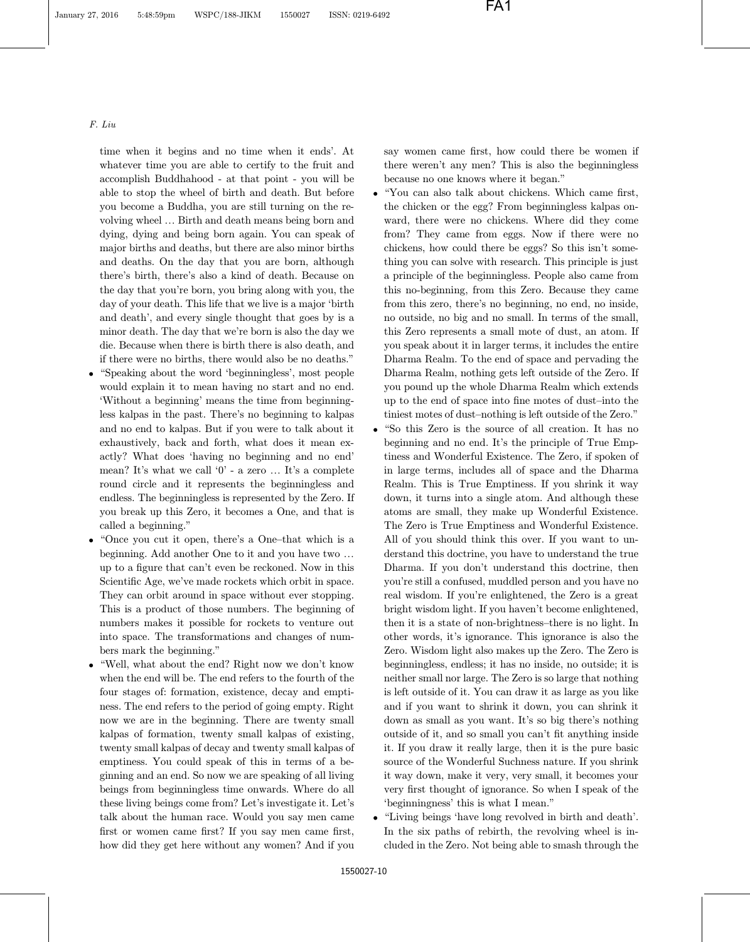time when it begins and no time when it ends'. At whatever time you are able to certify to the fruit and accomplish Buddhahood - at that point - you will be able to stop the wheel of birth and death. But before you become a Buddha, you are still turning on the revolving wheel … Birth and death means being born and dying, dying and being born again. You can speak of major births and deaths, but there are also minor births and deaths. On the day that you are born, although there's birth, there's also a kind of death. Because on the day that you're born, you bring along with you, the day of your death. This life that we live is a major 'birth and death', and every single thought that goes by is a minor death. The day that we're born is also the day we die. Because when there is birth there is also death, and if there were no births, there would also be no deaths."

- "Speaking about the word 'beginningless', most people would explain it to mean having no start and no end. `Without a beginning' means the time from beginningless kalpas in the past. There's no beginning to kalpas and no end to kalpas. But if you were to talk about it exhaustively, back and forth, what does it mean exactly? What does 'having no beginning and no end' mean? It's what we call `0' - a zero … It's a complete round circle and it represents the beginningless and endless. The beginningless is represented by the Zero. If you break up this Zero, it becomes a One, and that is called a beginning."
- $\bullet$  "Once you cut it open, there's a One–that which is a beginning. Add another One to it and you have two … up to a figure that can't even be reckoned. Now in this Scientific Age, we've made rockets which orbit in space. They can orbit around in space without ever stopping. This is a product of those numbers. The beginning of numbers makes it possible for rockets to venture out into space. The transformations and changes of numbers mark the beginning."
- . \Well, what about the end? Right now we don't know when the end will be. The end refers to the fourth of the four stages of: formation, existence, decay and emptiness. The end refers to the period of going empty. Right now we are in the beginning. There are twenty small kalpas of formation, twenty small kalpas of existing, twenty small kalpas of decay and twenty small kalpas of emptiness. You could speak of this in terms of a beginning and an end. So now we are speaking of all living beings from beginningless time onwards. Where do all these living beings come from? Let's investigate it. Let's talk about the human race. Would you say men came first or women came first? If you say men came first, how did they get here without any women? And if you

say women came first, how could there be women if there weren't any men? This is also the beginningless because no one knows where it began."

- "You can also talk about chickens. Which came first, the chicken or the egg? From beginningless kalpas onward, there were no chickens. Where did they come from? They came from eggs. Now if there were no chickens, how could there be eggs? So this isn't something you can solve with research. This principle is just a principle of the beginningless. People also came from this no-beginning, from this Zero. Because they came from this zero, there's no beginning, no end, no inside, no outside, no big and no small. In terms of the small, this Zero represents a small mote of dust, an atom. If you speak about it in larger terms, it includes the entire Dharma Realm. To the end of space and pervading the Dharma Realm, nothing gets left outside of the Zero. If you pound up the whole Dharma Realm which extends up to the end of space into fine motes of dust–into the tiniest motes of dust–nothing is left outside of the Zero."
- $\bullet$  "So this Zero is the source of all creation. It has no beginning and no end. It's the principle of True Emptiness and Wonderful Existence. The Zero, if spoken of in large terms, includes all of space and the Dharma Realm. This is True Emptiness. If you shrink it way down, it turns into a single atom. And although these atoms are small, they make up Wonderful Existence. The Zero is True Emptiness and Wonderful Existence. All of you should think this over. If you want to understand this doctrine, you have to understand the true Dharma. If you don't understand this doctrine, then you're still a confused, muddled person and you have no real wisdom. If you're enlightened, the Zero is a great bright wisdom light. If you haven't become enlightened, then it is a state of non-brightness–there is no light. In other words, it's ignorance. This ignorance is also the Zero. Wisdom light also makes up the Zero. The Zero is beginningless, endless; it has no inside, no outside; it is neither small nor large. The Zero is so large that nothing is left outside of it. You can draw it as large as you like and if you want to shrink it down, you can shrink it down as small as you want. It's so big there's nothing outside of it, and so small you can't fit anything inside it. If you draw it really large, then it is the pure basic source of the Wonderful Suchness nature. If you shrink it way down, make it very, very small, it becomes your very first thought of ignorance. So when I speak of the `beginningness' this is what I mean."
- "Living beings 'have long revolved in birth and death'. In the six paths of rebirth, the revolving wheel is included in the Zero. Not being able to smash through the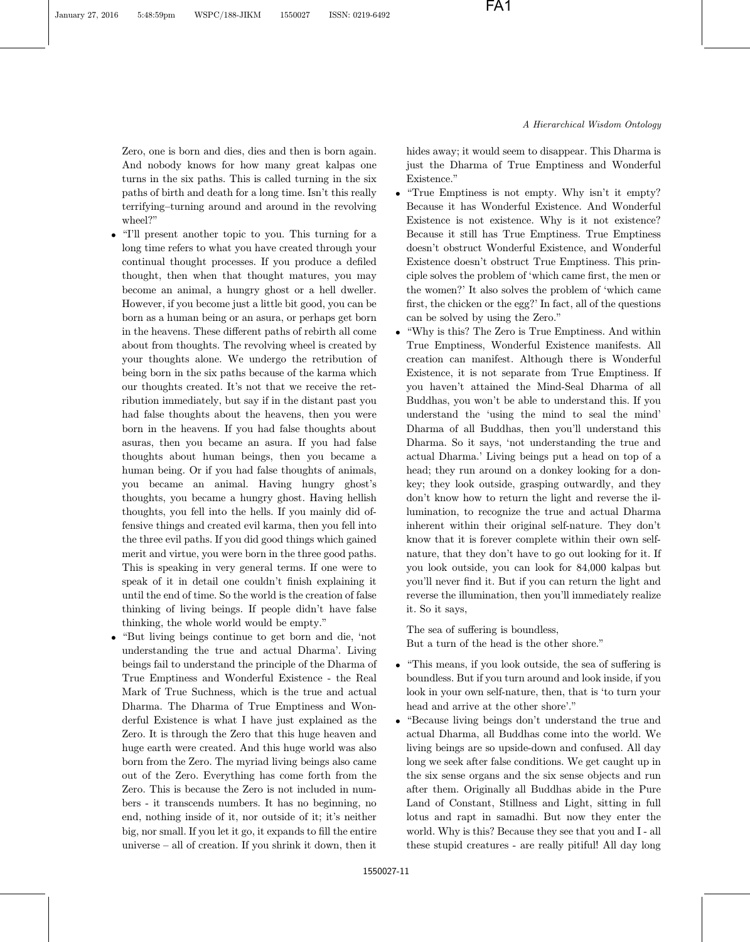Zero, one is born and dies, dies and then is born again. And nobody knows for how many great kalpas one turns in the six paths. This is called turning in the six paths of birth and death for a long time. Isn't this really terrifying–turning around and around in the revolving wheel?"

- $\bullet$  "I'll present another topic to you. This turning for a long time refers to what you have created through your continual thought processes. If you produce a defiled thought, then when that thought matures, you may become an animal, a hungry ghost or a hell dweller. However, if you become just a little bit good, you can be born as a human being or an asura, or perhaps get born in the heavens. These different paths of rebirth all come about from thoughts. The revolving wheel is created by your thoughts alone. We undergo the retribution of being born in the six paths because of the karma which our thoughts created. It's not that we receive the retribution immediately, but say if in the distant past you had false thoughts about the heavens, then you were born in the heavens. If you had false thoughts about asuras, then you became an asura. If you had false thoughts about human beings, then you became a human being. Or if you had false thoughts of animals, you became an animal. Having hungry ghost's thoughts, you became a hungry ghost. Having hellish thoughts, you fell into the hells. If you mainly did offensive things and created evil karma, then you fell into the three evil paths. If you did good things which gained merit and virtue, you were born in the three good paths. This is speaking in very general terms. If one were to speak of it in detail one couldn't finish explaining it until the end of time. So the world is the creation of false thinking of living beings. If people didn't have false thinking, the whole world would be empty."
- "But living beings continue to get born and die, 'not understanding the true and actual Dharma'. Living beings fail to understand the principle of the Dharma of True Emptiness and Wonderful Existence - the Real Mark of True Suchness, which is the true and actual Dharma. The Dharma of True Emptiness and Wonderful Existence is what I have just explained as the Zero. It is through the Zero that this huge heaven and huge earth were created. And this huge world was also born from the Zero. The myriad living beings also came out of the Zero. Everything has come forth from the Zero. This is because the Zero is not included in numbers - it transcends numbers. It has no beginning, no end, nothing inside of it, nor outside of it; it's neither big, nor small. If you let it go, it expands to fill the entire universe – all of creation. If you shrink it down, then it

hides away; it would seem to disappear. This Dharma is just the Dharma of True Emptiness and Wonderful Existence."

- $\bullet$  "True Emptiness is not empty. Why isn't it empty? Because it has Wonderful Existence. And Wonderful Existence is not existence. Why is it not existence? Because it still has True Emptiness. True Emptiness doesn't obstruct Wonderful Existence, and Wonderful Existence doesn't obstruct True Emptiness. This principle solves the problem of 'which came first, the men or the women?' It also solves the problem of `which came first, the chicken or the egg?' In fact, all of the questions can be solved by using the Zero."
- . \Why is this? The Zero is True Emptiness. And within True Emptiness, Wonderful Existence manifests. All creation can manifest. Although there is Wonderful Existence, it is not separate from True Emptiness. If you haven't attained the Mind-Seal Dharma of all Buddhas, you won't be able to understand this. If you understand the `using the mind to seal the mind' Dharma of all Buddhas, then you'll understand this Dharma. So it says, `not understanding the true and actual Dharma.' Living beings put a head on top of a head; they run around on a donkey looking for a donkey; they look outside, grasping outwardly, and they don't know how to return the light and reverse the illumination, to recognize the true and actual Dharma inherent within their original self-nature. They don't know that it is forever complete within their own selfnature, that they don't have to go out looking for it. If you look outside, you can look for 84,000 kalpas but you'll never find it. But if you can return the light and reverse the illumination, then you'll immediately realize it. So it says,

The sea of suffering is boundless, But a turn of the head is the other shore."

- $\bullet$  "This means, if you look outside, the sea of suffering is boundless. But if you turn around and look inside, if you look in your own self-nature, then, that is 'to turn your head and arrive at the other shore'."
- "Because living beings don't understand the true and actual Dharma, all Buddhas come into the world. We living beings are so upside-down and confused. All day long we seek after false conditions. We get caught up in the six sense organs and the six sense objects and run after them. Originally all Buddhas abide in the Pure Land of Constant, Stillness and Light, sitting in full lotus and rapt in samadhi. But now they enter the world. Why is this? Because they see that you and I - all these stupid creatures - are really pitiful! All day long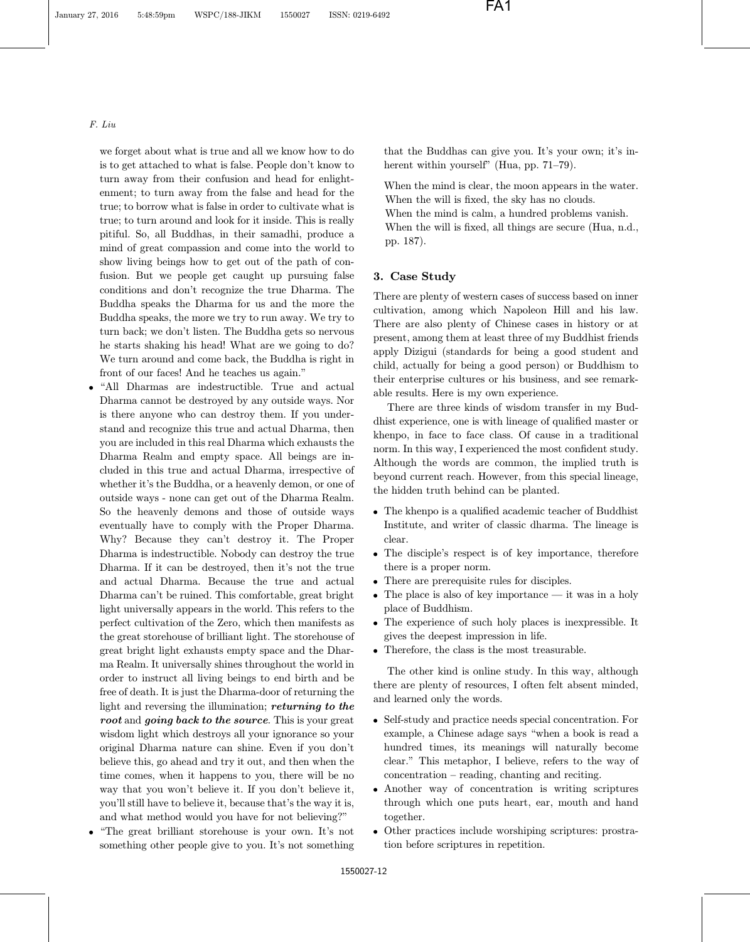we forget about what is true and all we know how to do is to get attached to what is false. People don't know to turn away from their confusion and head for enlightenment; to turn away from the false and head for the true; to borrow what is false in order to cultivate what is true; to turn around and look for it inside. This is really pitiful. So, all Buddhas, in their samadhi, produce a mind of great compassion and come into the world to show living beings how to get out of the path of confusion. But we people get caught up pursuing false conditions and don't recognize the true Dharma. The Buddha speaks the Dharma for us and the more the Buddha speaks, the more we try to run away. We try to turn back; we don't listen. The Buddha gets so nervous he starts shaking his head! What are we going to do? We turn around and come back, the Buddha is right in front of our faces! And he teaches us again."

- $\bullet$  "All Dharmas are indestructible. True and actual Dharma cannot be destroyed by any outside ways. Nor is there anyone who can destroy them. If you understand and recognize this true and actual Dharma, then you are included in this real Dharma which exhausts the Dharma Realm and empty space. All beings are included in this true and actual Dharma, irrespective of whether it's the Buddha, or a heavenly demon, or one of outside ways - none can get out of the Dharma Realm. So the heavenly demons and those of outside ways eventually have to comply with the Proper Dharma. Why? Because they can't destroy it. The Proper Dharma is indestructible. Nobody can destroy the true Dharma. If it can be destroyed, then it's not the true and actual Dharma. Because the true and actual Dharma can't be ruined. This comfortable, great bright light universally appears in the world. This refers to the perfect cultivation of the Zero, which then manifests as the great storehouse of brilliant light. The storehouse of great bright light exhausts empty space and the Dharma Realm. It universally shines throughout the world in order to instruct all living beings to end birth and be free of death. It is just the Dharma-door of returning the light and reversing the illumination; returning to the root and *going back to the source*. This is your great wisdom light which destroys all your ignorance so your original Dharma nature can shine. Even if you don't believe this, go ahead and try it out, and then when the time comes, when it happens to you, there will be no way that you won't believe it. If you don't believe it, you'll still have to believe it, because that's the way it is, and what method would you have for not believing?"
- $\bullet$  "The great brilliant storehouse is your own. It's not something other people give to you. It's not something

that the Buddhas can give you. It's your own; it's inherent within yourself" (Hua, pp. 71–79).

When the mind is clear, the moon appears in the water. When the will is fixed, the sky has no clouds.

When the mind is calm, a hundred problems vanish. When the will is fixed, all things are secure (Hua, n.d., pp. 187).

# 3. Case Study

There are plenty of western cases of success based on inner cultivation, among which Napoleon Hill and his law. There are also plenty of Chinese cases in history or at present, among them at least three of my Buddhist friends apply Dizigui (standards for being a good student and child, actually for being a good person) or Buddhism to their enterprise cultures or his business, and see remarkable results. Here is my own experience.

There are three kinds of wisdom transfer in my Buddhist experience, one is with lineage of qualified master or khenpo, in face to face class. Of cause in a traditional norm. In this way, I experienced the most confident study. Although the words are common, the implied truth is beyond current reach. However, from this special lineage, the hidden truth behind can be planted.

- $\bullet$  The khenpo is a qualified academic teacher of Buddhist Institute, and writer of classic dharma. The lineage is clear.
- . The disciple's respect is of key importance, therefore there is a proper norm.
- . There are prerequisite rules for disciples.
- $\bullet$  The place is also of key importance it was in a holy place of Buddhism.
- . The experience of such holy places is inexpressible. It gives the deepest impression in life.
- . Therefore, the class is the most treasurable.

The other kind is online study. In this way, although there are plenty of resources, I often felt absent minded, and learned only the words.

- . Self-study and practice needs special concentration. For example, a Chinese adage says \when a book is read a hundred times, its meanings will naturally become clear." This metaphor, I believe, refers to the way of concentration – reading, chanting and reciting.
- . Another way of concentration is writing scriptures through which one puts heart, ear, mouth and hand together.
- . Other practices include worshiping scriptures: prostration before scriptures in repetition.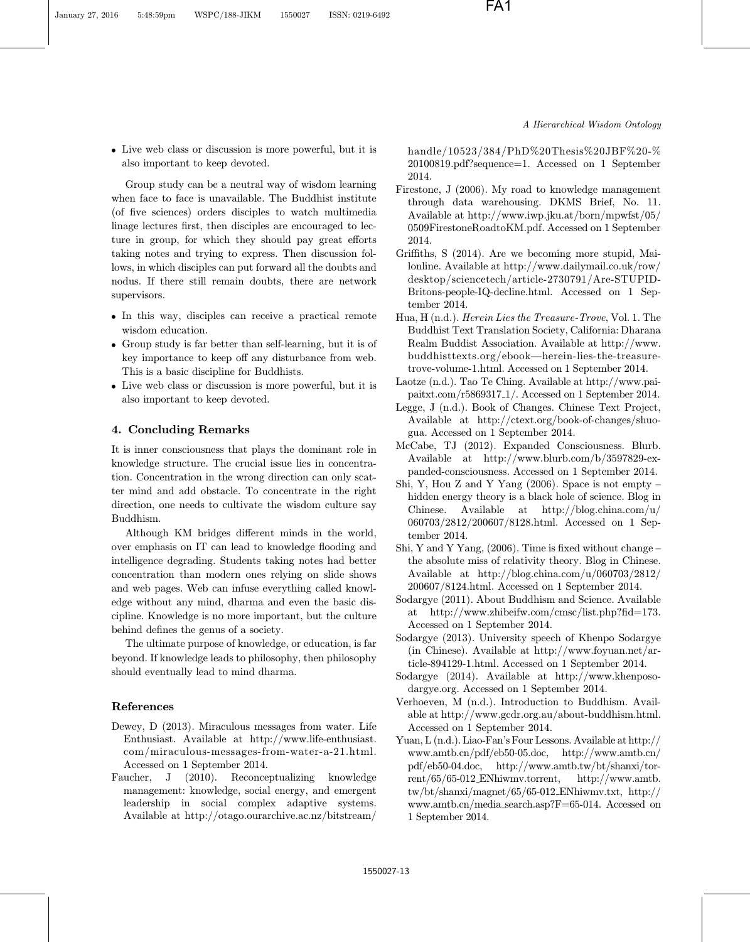<span id="page-12-0"></span>. Live web class or discussion is more powerful, but it is also important to keep devoted.

Group study can be a neutral way of wisdom learning when face to face is unavailable. The Buddhist institute (of five sciences) orders disciples to watch multimedia linage lectures first, then disciples are encouraged to lecture in group, for which they should pay great efforts taking notes and trying to express. Then discussion follows, in which disciples can put forward all the doubts and nodus. If there still remain doubts, there are network supervisors.

- . In this way, disciples can receive a practical remote wisdom education.
- . Group study is far better than self-learning, but it is of key importance to keep off any disturbance from web. This is a basic discipline for Buddhists.
- . Live web class or discussion is more powerful, but it is also important to keep devoted.

# 4. Concluding Remarks

It is inner consciousness that plays the dominant role in knowledge structure. The crucial issue lies in concentration. Concentration in the wrong direction can only scatter mind and add obstacle. To concentrate in the right direction, one needs to cultivate the wisdom culture say Buddhism.

Although KM bridges different minds in the world, over emphasis on IT can lead to knowledge flooding and intelligence degrading. Students taking notes had better concentration than modern ones relying on slide shows and web pages. Web can infuse everything called knowledge without any mind, dharma and even the basic discipline. Knowledge is no more important, but the culture behind defines the genus of a society.

The ultimate purpose of knowledge, or education, is far beyond. If knowledge leads to philosophy, then philosophy should eventually lead to mind dharma.

# References

- Dewey, D (2013). Miraculous messages from water. Life Enthusiast. Available at http://www.life-enthusiast. com/miraculous-messages-from-water-a-21.html. Accessed on 1 September 2014.
- Faucher, J (2010). Reconceptualizing knowledge management: knowledge, social energy, and emergent leadership in social complex adaptive systems. Available at http://otago.ourarchive.ac.nz/bitstream/

handle/10523/384/PhD%20Thesis%20JBF%20-%  $20100819.pdf$ ?sequence=1. Accessed on 1 September 2014.

- Firestone, J (2006). My road to knowledge management through data warehousing. DKMS Brief, No. 11. Available at http://www.iwp.jku.at/born/mpwfst/05/ 0509FirestoneRoadtoKM.pdf. Accessed on 1 September 2014.
- Griffiths, S (2014). Are we becoming more stupid, Mailonline. Available at http://www.dailymail.co.uk/row/ desktop/sciencetech/article-2730791/Are-STUPID-Britons-people-IQ-decline.html. Accessed on 1 September 2014.
- Hua, H (n.d.). Herein Lies the Treasure-Trove, Vol. 1. The Buddhist Text Translation Society, California: Dharana Realm Buddist Association. Available at http://www. buddhisttexts.org/ebook—herein-lies-the-treasuretrove-volume-1.html. Accessed on 1 September 2014.
- Laotze (n.d.). Tao Te Ching. Available at http://www.paipaitxt.com/r5869317 1/. Accessed on 1 September 2014.
- Legge, J (n.d.). Book of Changes. Chinese Text Project, Available at http://ctext.org/book-of-changes/shuogua. Accessed on 1 September 2014.
- McCabe, TJ (2012). Expanded Consciousness. Blurb. Available at http://www.blurb.com/b/3597829-expanded-consciousness. Accessed on 1 September 2014.
- Shi, Y, Hou Z and Y Yang  $(2006)$ . Space is not empty hidden energy theory is a black hole of science. Blog in Chinese. Available at http://blog.china.com/u/ 060703/2812/200607/8128.html. Accessed on 1 September 2014.
- Shi, Y and Y Yang,  $(2006)$ . Time is fixed without change the absolute miss of relativity theory. Blog in Chinese. Available at http://blog.china.com/u/060703/2812/ 200607/8124.html. Accessed on 1 September 2014.
- Sodargye (2011). About Buddhism and Science. Available at http://www.zhibeifw.com/cmsc/list.php?fid=173. Accessed on 1 September 2014.
- Sodargye (2013). University speech of Khenpo Sodargye (in Chinese). Available at http://www.foyuan.net/article-894129-1.html. Accessed on 1 September 2014.
- Sodargye (2014). Available at http://www.khenposodargye.org. Accessed on 1 September 2014.
- Verhoeven, M (n.d.). Introduction to Buddhism. Available at http://www.gcdr.org.au/about-buddhism.html. Accessed on 1 September 2014.
- Yuan, L (n.d.). Liao-Fan's Four Lessons. Available at http:// www.amtb.cn/pdf/eb50-05.doc, http://www.amtb.cn/ pdf/eb50-04.doc, http://www.amtb.tw/bt/shanxi/torrent/65/65-012 ENhiwmv.torrent, http://www.amtb. tw/bt/shanxi/magnet/65/65-012 ENhiwmv.txt, http:// www.amtb.cn/media search.asp?F=65-014. Accessed on 1 September 2014.